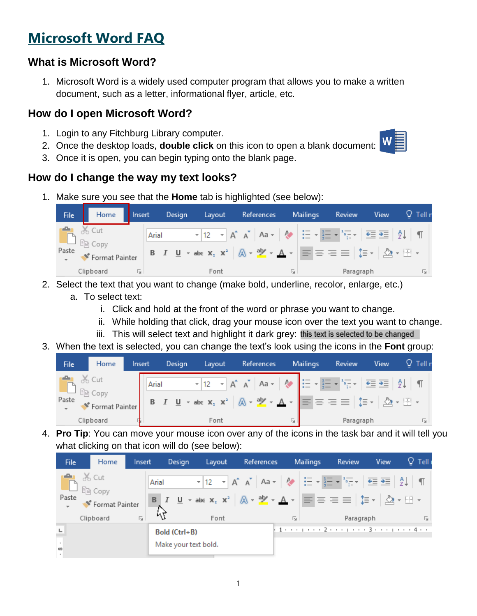# **Microsoft Word FAQ**

## **What is Microsoft Word?**

1. Microsoft Word is a widely used computer program that allows you to make a written document, such as a letter, informational flyer, article, etc.

#### **How do I open Microsoft Word?**

- 1. Login to any Fitchburg Library computer.
- 2. Once the desktop loads, **double click** on this icon to open a blank document:
- 3. Once it is open, you can begin typing onto the blank page.

#### **How do I change the way my text looks?**

1. Make sure you see that the **Home** tab is highlighted (see below):

|                 |                |                |  | File Home Insert Design |  |  |  |  |  |  |   |  | Layout References Mailings                                                                                                                                                                                                                                                                                     |  | <b>Review</b> | <b>View</b> | $Q$ Tell r |
|-----------------|----------------|----------------|--|-------------------------|--|--|--|--|--|--|---|--|----------------------------------------------------------------------------------------------------------------------------------------------------------------------------------------------------------------------------------------------------------------------------------------------------------------|--|---------------|-------------|------------|
| Paste           | <b>B</b> X Cut | Format Painter |  |                         |  |  |  |  |  |  |   |  | Arial $\mathbf{r}$   12 $\mathbf{r}$   $\mathbf{A}^*$   $\mathbf{A}$ $\mathbf{a}$ $\mathbf{r}$   $\mathbf{A}$   $\mathbf{B}$   $\mathbf{B}$   $\mathbf{B}$   $\mathbf{B}$   $\mathbf{B}$   $\mathbf{B}$   $\mathbf{B}$   $\mathbf{B}$   $\mathbf{B}$   $\mathbf{B}$   $\mathbf{B}$   $\mathbf{B}$   $\mathbf{$ |  |               |             |            |
| Clipboard<br>辰. |                |                |  | Font                    |  |  |  |  |  |  | 匠 |  | Paragraph                                                                                                                                                                                                                                                                                                      |  |               | 匠           |            |

- 2. Select the text that you want to change (make bold, underline, recolor, enlarge, etc.)
	- a. To select text:
		- i. Click and hold at the front of the word or phrase you want to change.
		- ii. While holding that click, drag your mouse icon over the text you want to change.
		- iii. This will select text and highlight it dark grey: this text is selected to be changed
- 3. When the text is selected, you can change the text's look using the icons in the **Font** group:

| File | Home<br>Insert                                           |  | Design |      |                                                                                                                                                                                                                                                                                                                                                                                                                                                                                                                                                                                                                                                                                                 | Layout References Mailings |  | <b>View</b><br>Review | $Q$ Tell i |
|------|----------------------------------------------------------|--|--------|------|-------------------------------------------------------------------------------------------------------------------------------------------------------------------------------------------------------------------------------------------------------------------------------------------------------------------------------------------------------------------------------------------------------------------------------------------------------------------------------------------------------------------------------------------------------------------------------------------------------------------------------------------------------------------------------------------------|----------------------------|--|-----------------------|------------|
|      | <b>DEL</b> & Cut<br>Paste <b>Strategy</b> Format Painter |  | Arial  |      | $\blacktriangleright$ 12 $\blacktriangleright$ A <sup>*</sup> A <sup>*</sup> Aa $\blacktriangleright$ $\blacktriangleright$ $\blacktriangleright$ $\frac{1}{2}$ $\equiv$ $\blacktriangleright$ $\frac{1}{2}$ $\equiv$ $\frac{1}{2}$ $\frac{1}{2}$ $\downarrow$ $\parallel$ $\blacksquare$<br><b>B</b> $I$ $\underline{\mathsf{U}}$ $\rightarrow$ abc $\mathsf{x}_2$ $\mathsf{x}^2$ $\hat{\mathbb{A}}$ $\rightarrow$ $\underline{\mathsf{N}}$ $\rightarrow$ $\underline{\mathsf{A}}$ $\rightarrow$ $\underline{\mathsf{E}}$ $\equiv$ $\equiv$ $\underline{\equiv}$ $ \updownarrow \equiv$ $\rightarrow$ $ \stackrel{\mathsf{A}}{\triangle}$ $\rightarrow$ $\underline{\mathbb{H}}$ $\rightarrow$ |                            |  |                       |            |
|      | Clipboard                                                |  |        | Font |                                                                                                                                                                                                                                                                                                                                                                                                                                                                                                                                                                                                                                                                                                 | Гsі.                       |  | Paragraph             | Б.,        |

4. **Pro Tip**: You can move your mouse icon over any of the icons in the task bar and it will tell you what clicking on that icon will do (see below):

| <b>File</b>                           | Home                        | Insert |               | Design               | Layout                                                                                                                                                                                                                                                                                                                        | References |                 | Mailings | Review    | <b>View</b> | $Q$ Tell |
|---------------------------------------|-----------------------------|--------|---------------|----------------------|-------------------------------------------------------------------------------------------------------------------------------------------------------------------------------------------------------------------------------------------------------------------------------------------------------------------------------|------------|-----------------|----------|-----------|-------------|----------|
|                                       | <b>B</b> X Cut              |        |               | Arial                | $\mathbf{v}$ 12 $\mathbf{v}$ A A $\mathbf{A}$ A $\mathbf{A}$ A $\mathbf{v}$ $\mathbf{A}$ $\mathbf{v}$ $\mathbf{A}$ $\mathbf{v}$ $\mathbf{A}$ $\mathbf{v}$ $\mathbf{A}$ $\mathbf{v}$ $\mathbf{A}$ $\mathbf{v}$ $\mathbf{A}$ $\mathbf{v}$ $\mathbf{A}$ $\mathbf{v}$ $\mathbf{A}$ $\mathbf{v}$ $\mathbf{A}$ $\mathbf{v}$ $\math$ |            |                 |          |           |             |          |
| Paste                                 | Format Painter<br>Clipboard | Гy.    | 43            |                      | Font                                                                                                                                                                                                                                                                                                                          |            | $\overline{12}$ |          | Paragraph |             | Б.,      |
| ш                                     |                             |        | Bold (Ctrl+B) |                      |                                                                                                                                                                                                                                                                                                                               |            |                 |          |           |             |          |
| $\overline{\phantom{a}}$<br>œ<br>$\,$ |                             |        |               | Make your text bold. |                                                                                                                                                                                                                                                                                                                               |            |                 |          |           |             |          |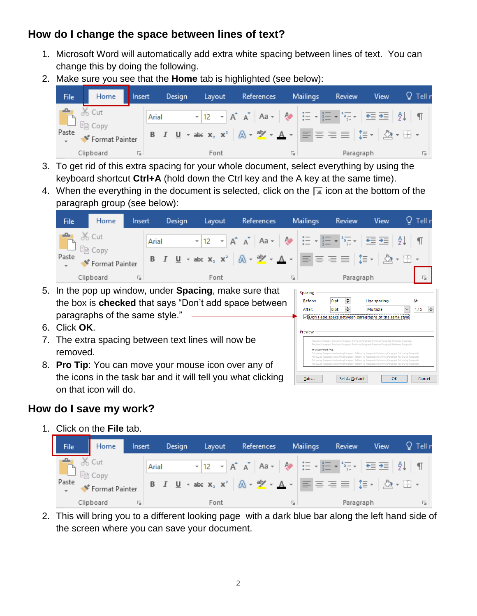## **How do I change the space between lines of text?**

- 1. Microsoft Word will automatically add extra white spacing between lines of text. You can change this by doing the following.
- 2. Make sure you see that the **Home** tab is highlighted (see below):



- 3. To get rid of this extra spacing for your whole document, select everything by using the keyboard shortcut **Ctrl+A** (hold down the Ctrl key and the A key at the same time).
- 4. When the everything in the document is selected, click on the  $\sqrt{ }$  icon at the bottom of the paragraph group (see below):

| File                                      | Home      | Insert | Design | Layout | References | <b>Mailings</b> | Review    | View | $Q$ Tell r                  |
|-------------------------------------------|-----------|--------|--------|--------|------------|-----------------|-----------|------|-----------------------------|
| <b>B</b> X Cut<br>Paste<br>Format Painter |           |        | Arial  |        |            |                 |           |      |                             |
|                                           | Clipboard | 辰.     |        | Font   |            | 园.              | Paragraph |      | $\overline{\mathbb{F}_2}$ . |

Spacing Before:

After:

Preview

Tabs...

 $\left| \div \right|$ 

 $\equiv$ 

○ Don't add space between paragraphs of the same style

Set As Default

0<sub>pt</sub>

8 pt

Line spacing:

OK

Multiple

At:

 $\boxed{\smile}$  1.15  $\boxed{\div}$ 

Cancel

- 5. In the pop up window, under **Spacing**, make sure that the box is **checked** that says "Don't add space between paragraphs of the same style."
- 6. Click **OK**.
- 7. The extra spacing between text lines will now be removed.
- 8. **Pro Tip**: You can move your mouse icon over any of the icons in the task bar and it will tell you what clicking on that icon will do.

#### **How do I save my work?**

1. Click on the **File** tab.

| <b>File</b> |         | Home                             | Insert |       | Design |  | Layout |  | References |    | <b>Mailings</b> | Review                                                                                                                                                                                                                                                                             | View | $\mathsf{\Omega}$ Tell r |
|-------------|---------|----------------------------------|--------|-------|--------|--|--------|--|------------|----|-----------------|------------------------------------------------------------------------------------------------------------------------------------------------------------------------------------------------------------------------------------------------------------------------------------|------|--------------------------|
| ÷<br>Paste  | $%$ Cut | $\Box$ En Copy<br>Format Painter |        | Arial |        |  |        |  |            |    |                 | <b>B</b> $I$ <b>U</b> $\rightarrow$ abc $X_2$ $X^2$ $\uparrow$ $\bigcirc$ $\uparrow$ $\bullet$ $\bullet$ $\bigcirc$ $\uparrow$ $\uparrow$ $\bigcirc$ $\uparrow$ $\equiv$ $\equiv$ $\equiv$ $\bigcirc$ $\uparrow$ $\uparrow$ $\bigcirc$ $\searrow$ $\cdot$ $\bigcirc$ $\rightarrow$ |      |                          |
|             |         | Clipboard                        | Б.,    |       |        |  | Font   |  |            | 园. |                 | Paragraph                                                                                                                                                                                                                                                                          |      | 辰                        |

2. This will bring you to a different looking page with a dark blue bar along the left hand side of the screen where you can save your document.